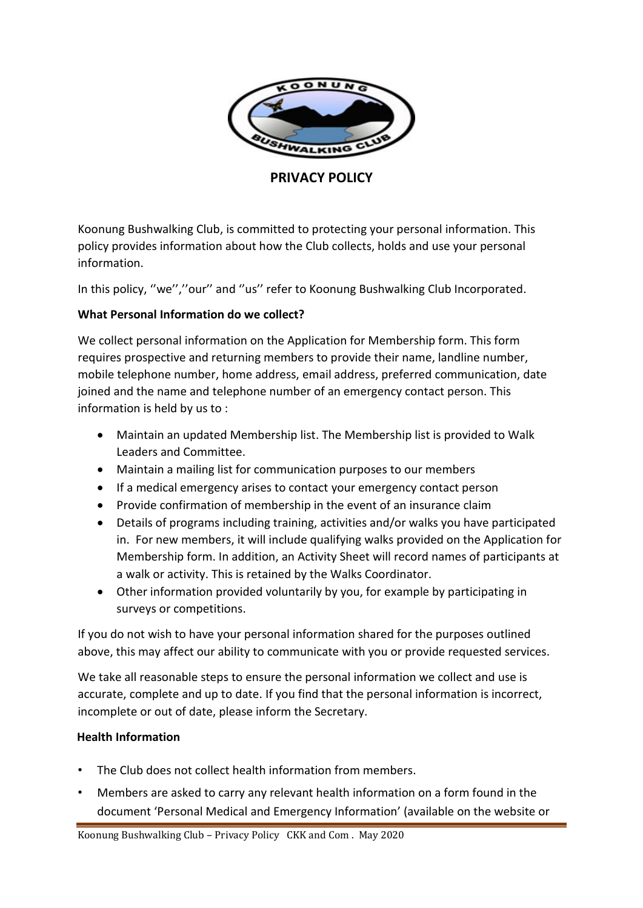

# **PRIVACY POLICY**

Koonung Bushwalking Club, is committed to protecting your personal information. This policy provides information about how the Club collects, holds and use your personal information.

In this policy, ''we'',''our'' and ''us'' refer to Koonung Bushwalking Club Incorporated.

## **What Personal Information do we collect?**

We collect personal information on the Application for Membership form. This form requires prospective and returning members to provide their name, landline number, mobile telephone number, home address, email address, preferred communication, date joined and the name and telephone number of an emergency contact person. This information is held by us to :

- Maintain an updated Membership list. The Membership list is provided to Walk Leaders and Committee.
- Maintain a mailing list for communication purposes to our members
- If a medical emergency arises to contact your emergency contact person
- Provide confirmation of membership in the event of an insurance claim
- Details of programs including training, activities and/or walks you have participated in. For new members, it will include qualifying walks provided on the Application for Membership form. In addition, an Activity Sheet will record names of participants at a walk or activity. This is retained by the Walks Coordinator.
- Other information provided voluntarily by you, for example by participating in surveys or competitions.

If you do not wish to have your personal information shared for the purposes outlined above, this may affect our ability to communicate with you or provide requested services.

We take all reasonable steps to ensure the personal information we collect and use is accurate, complete and up to date. If you find that the personal information is incorrect, incomplete or out of date, please inform the Secretary.

## **Health Information**

- The Club does not collect health information from members.
- Members are asked to carry any relevant health information on a form found in the document 'Personal Medical and Emergency Information' (available on the website or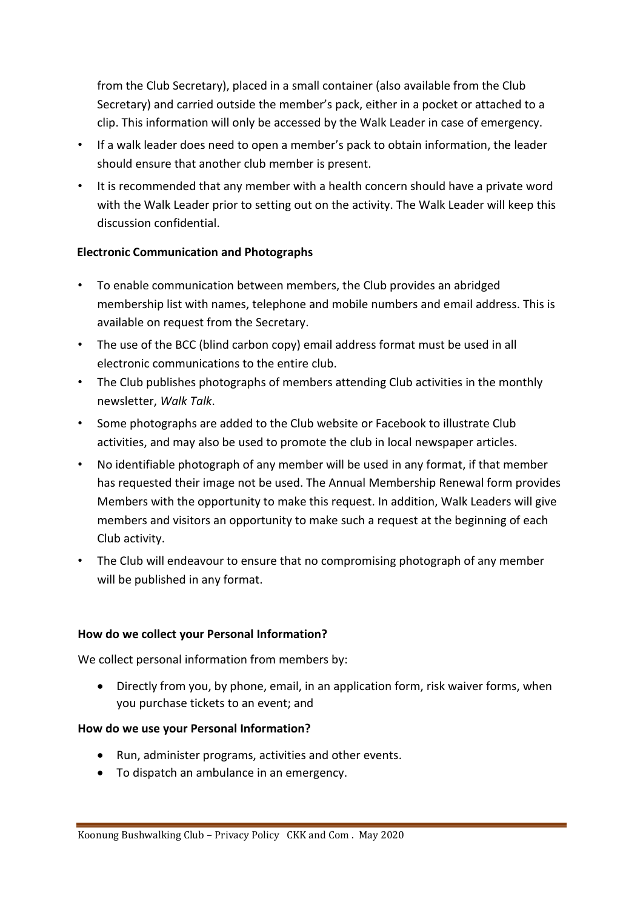from the Club Secretary), placed in a small container (also available from the Club Secretary) and carried outside the member's pack, either in a pocket or attached to a clip. This information will only be accessed by the Walk Leader in case of emergency.

- If a walk leader does need to open a member's pack to obtain information, the leader should ensure that another club member is present.
- It is recommended that any member with a health concern should have a private word with the Walk Leader prior to setting out on the activity. The Walk Leader will keep this discussion confidential.

## **Electronic Communication and Photographs**

- To enable communication between members, the Club provides an abridged membership list with names, telephone and mobile numbers and email address. This is available on request from the Secretary.
- The use of the BCC (blind carbon copy) email address format must be used in all electronic communications to the entire club.
- The Club publishes photographs of members attending Club activities in the monthly newsletter, *Walk Talk*.
- Some photographs are added to the Club website or Facebook to illustrate Club activities, and may also be used to promote the club in local newspaper articles.
- No identifiable photograph of any member will be used in any format, if that member has requested their image not be used. The Annual Membership Renewal form provides Members with the opportunity to make this request. In addition, Walk Leaders will give members and visitors an opportunity to make such a request at the beginning of each Club activity.
- The Club will endeavour to ensure that no compromising photograph of any member will be published in any format.

## **How do we collect your Personal Information?**

We collect personal information from members by:

 Directly from you, by phone, email, in an application form, risk waiver forms, when you purchase tickets to an event; and

#### **How do we use your Personal Information?**

- Run, administer programs, activities and other events.
- To dispatch an ambulance in an emergency.